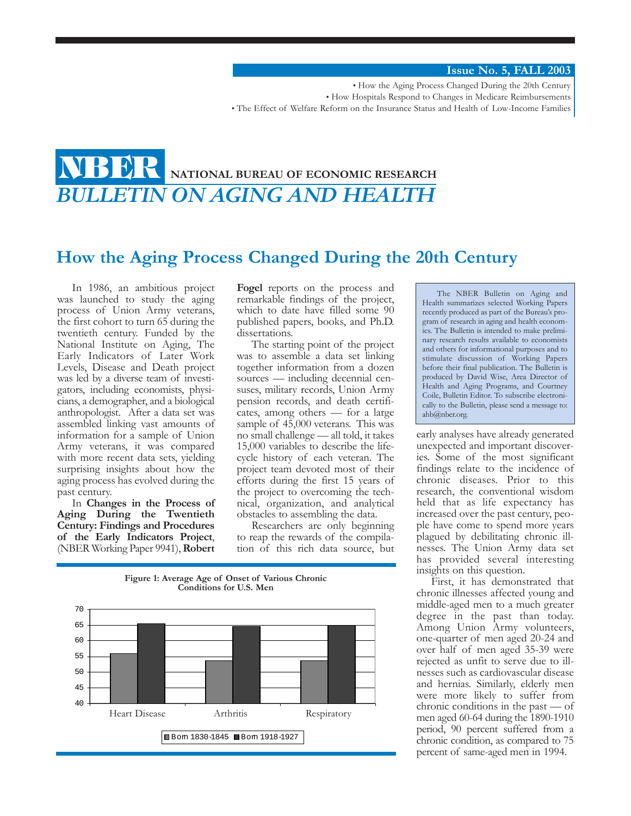**Issue No. 5, FALL 2003**

• How the Aging Process Changed During the 20th Century • How Hospitals Respond to Changes in Medicare Reimbursements • The Effect of Welfare Reform on the Insurance Status and Health of Low-Income Families

### **NATIONAL BUREAU OF ECONOMIC RESEARCH** *BULLETIN ON AGING AND HEALTH* **NBER**

## **How the Aging Process Changed During the 20th Century**

In 1986, an ambitious project was launched to study the aging process of Union Army veterans, the first cohort to turn 65 during the twentieth century. Funded by the National Institute on Aging, The Early Indicators of Later Work Levels, Disease and Death project was led by a diverse team of investigators, including economists, physicians, a demographer, and a biological anthropologist. After a data set was assembled linking vast amounts of information for a sample of Union Army veterans, it was compared with more recent data sets, yielding surprising insights about how the aging process has evolved during the past century.

In **Changes in the Process of Aging During the Twentieth Century: Findings and Procedures of the Early Indicators Project**, (NBER Working Paper 9941),**Robert**

**Fogel** reports on the process and remarkable findings of the project, which to date have filled some 90 published papers, books, and Ph.D. dissertations.

The starting point of the project was to assemble a data set linking together information from a dozen sources — including decennial censuses, military records, Union Army pension records, and death certificates, among others — for a large sample of  $45,000$  veterans. This was no small challenge — all told, it takes 15,000 variables to describe the lifecycle history of each veteran. The project team devoted most of their efforts during the first 15 years of the project to overcoming the technical, organization, and analytical obstacles to assembling the data.

Researchers are only beginning to reap the rewards of the compilation of this rich data source, but



**Figure 1: Average Age of Onset of Various Chronic Conditions for U.S. Men**

The NBER Bulletin on Aging and Health summarizes selected Working Papers recently produced as part of the Bureau's program of research in aging and health economics. The Bulletin is intended to make preliminary research results available to economists and others for informational purposes and to stimulate discussion of Working Papers before their final publication. The Bulletin is produced by David Wise, Area Director of Health and Aging Programs, and Courtney Coile, Bulletin Editor. To subscribe electronically to the Bulletin, please send a message to: ahb@nber.org.

early analyses have already generated unexpected and important discoveries. Some of the most significant findings relate to the incidence of chronic diseases. Prior to this research, the conventional wisdom held that as life expectancy has increased over the past century, people have come to spend more years plagued by debilitating chronic illnesses. The Union Army data set has provided several interesting insights on this question.

First, it has demonstrated that chronic illnesses affected young and middle-aged men to a much greater degree in the past than today. Among Union Army volunteers, one-quarter of men aged 20-24 and over half of men aged 35-39 were rejected as unfit to serve due to illnesses such as cardiovascular disease and hernias. Similarly, elderly men were more likely to suffer from chronic conditions in the past — of men aged 60-64 during the 1890-1910 period, 90 percent suffered from a chronic condition, as compared to 75 percent of same-aged men in 1994.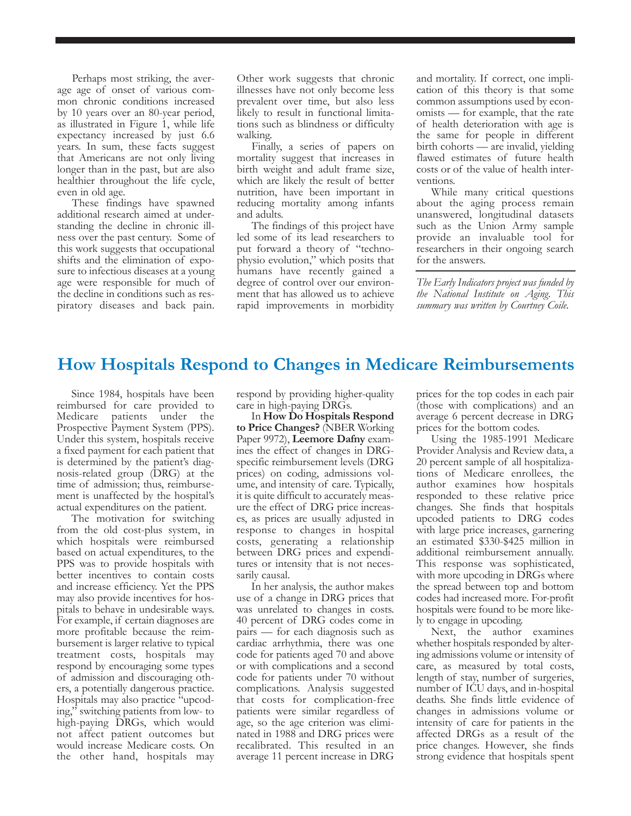Perhaps most striking, the average age of onset of various common chronic conditions increased by 10 years over an 80-year period, as illustrated in Figure 1, while life expectancy increased by just 6.6 years. In sum, these facts suggest that Americans are not only living longer than in the past, but are also healthier throughout the life cycle, even in old age.

These findings have spawned additional research aimed at understanding the decline in chronic illness over the past century. Some of this work suggests that occupational shifts and the elimination of exposure to infectious diseases at a young age were responsible for much of the decline in conditions such as respiratory diseases and back pain.

Other work suggests that chronic illnesses have not only become less prevalent over time, but also less likely to result in functional limitations such as blindness or difficulty walking.

Finally, a series of papers on mortality suggest that increases in birth weight and adult frame size, which are likely the result of better nutrition, have been important in reducing mortality among infants and adults.

The findings of this project have led some of its lead researchers to put forward a theory of "technophysio evolution," which posits that humans have recently gained a degree of control over our environment that has allowed us to achieve rapid improvements in morbidity and mortality. If correct, one implication of this theory is that some common assumptions used by economists — for example, that the rate of health deterioration with age is the same for people in different birth cohorts — are invalid, yielding flawed estimates of future health costs or of the value of health interventions.

While many critical questions about the aging process remain unanswered, longitudinal datasets such as the Union Army sample provide an invaluable tool for researchers in their ongoing search for the answers.

*The Early Indicators project was funded by the National Institute on Aging. This summary was written by Courtney Coile.*

# **How Hospitals Respond to Changes in Medicare Reimbursements**

Since 1984, hospitals have been reimbursed for care provided to Medicare patients under the Prospective Payment System (PPS). Under this system, hospitals receive a fixed payment for each patient that is determined by the patient's diagnosis-related group (DRG) at the time of admission; thus, reimbursement is unaffected by the hospital's actual expenditures on the patient.

The motivation for switching from the old cost-plus system, in which hospitals were reimbursed based on actual expenditures, to the PPS was to provide hospitals with better incentives to contain costs and increase efficiency. Yet the PPS may also provide incentives for hospitals to behave in undesirable ways. For example, if certain diagnoses are more profitable because the reimbursement is larger relative to typical treatment costs, hospitals may respond by encouraging some types of admission and discouraging others, a potentially dangerous practice. Hospitals may also practice "upcoding," switching patients from low- to high-paying DRGs, which would not affect patient outcomes but would increase Medicare costs. On the other hand, hospitals may

respond by providing higher-quality care in high-paying DRGs.

In **How Do Hospitals Respond to Price Changes?** (NBER Working Paper 9972), **Leemore Dafny** examines the effect of changes in DRGspecific reimbursement levels (DRG prices) on coding, admissions volume, and intensity of care. Typically, it is quite difficult to accurately measure the effect of DRG price increases, as prices are usually adjusted in response to changes in hospital costs, generating a relationship between DRG prices and expenditures or intensity that is not necessarily causal.

In her analysis, the author makes use of a change in DRG prices that was unrelated to changes in costs. 40 percent of DRG codes come in pairs — for each diagnosis such as cardiac arrhythmia, there was one code for patients aged 70 and above or with complications and a second code for patients under 70 without complications. Analysis suggested that costs for complication-free patients were similar regardless of age, so the age criterion was eliminated in 1988 and DRG prices were recalibrated. This resulted in an average 11 percent increase in DRG

prices for the top codes in each pair (those with complications) and an average 6 percent decrease in DRG prices for the bottom codes.

Using the 1985-1991 Medicare Provider Analysis and Review data, a 20 percent sample of all hospitalizations of Medicare enrollees, the author examines how hospitals responded to these relative price changes. She finds that hospitals upcoded patients to DRG codes with large price increases, garnering an estimated \$330-\$425 million in additional reimbursement annually. This response was sophisticated, with more upcoding in DRGs where the spread between top and bottom codes had increased more. For-profit hospitals were found to be more likely to engage in upcoding.

Next, the author examines whether hospitals responded by altering admissions volume or intensity of care, as measured by total costs, length of stay, number of surgeries, number of ICU days, and in-hospital deaths. She finds little evidence of changes in admissions volume or intensity of care for patients in the affected DRGs as a result of the price changes. However, she finds strong evidence that hospitals spent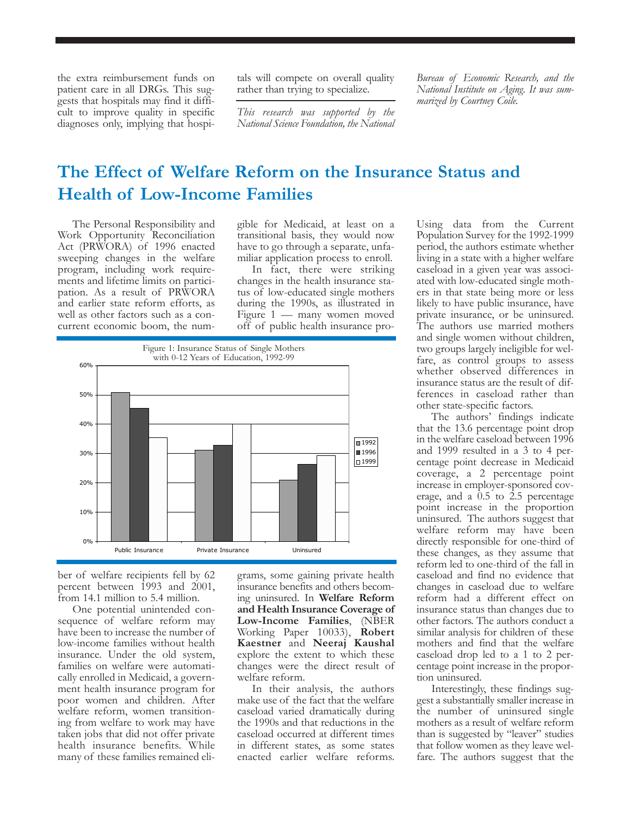the extra reimbursement funds on patient care in all DRGs. This suggests that hospitals may find it difficult to improve quality in specific diagnoses only, implying that hospitals will compete on overall quality rather than trying to specialize.

*This research was supported by the National Science Foundation, the National*

*Bureau of Economic Research, and the National Institute on Aging. It was summarized by Courtney Coile.*

# **The Effect of Welfare Reform on the Insurance Status and Health of Low-Income Families**

The Personal Responsibility and Work Opportunity Reconciliation Act (PRWORA) of 1996 enacted sweeping changes in the welfare program, including work requirements and lifetime limits on participation. As a result of PRWORA and earlier state reform efforts, as well as other factors such as a concurrent economic boom, the num-

gible for Medicaid, at least on a transitional basis, they would now have to go through a separate, unfamiliar application process to enroll.

In fact, there were striking changes in the health insurance status of low-educated single mothers during the 1990s, as illustrated in Figure 1 — many women moved off of public health insurance pro-



ber of welfare recipients fell by 62 percent between 1993 and 2001, from 14.1 million to 5.4 million.

One potential unintended consequence of welfare reform may have been to increase the number of low-income families without health insurance. Under the old system, families on welfare were automatically enrolled in Medicaid, a government health insurance program for poor women and children. After welfare reform, women transitioning from welfare to work may have taken jobs that did not offer private health insurance benefits. While many of these families remained eli-

grams, some gaining private health insurance benefits and others becoming uninsured. In **Welfare Reform and Health Insurance Coverage of Low-Income Families**, (NBER Working Paper 10033), **Robert Kaestner** and **Neeraj Kaushal** explore the extent to which these changes were the direct result of welfare reform.

In their analysis, the authors make use of the fact that the welfare caseload varied dramatically during the 1990s and that reductions in the caseload occurred at different times in different states, as some states enacted earlier welfare reforms.

Using data from the Current Population Survey for the 1992-1999 period, the authors estimate whether living in a state with a higher welfare caseload in a given year was associated with low-educated single mothers in that state being more or less likely to have public insurance, have private insurance, or be uninsured. The authors use married mothers and single women without children, two groups largely ineligible for welfare, as control groups to assess whether observed differences in insurance status are the result of differences in caseload rather than other state-specific factors.

The authors' findings indicate that the 13.6 percentage point drop in the welfare caseload between 1996 and 1999 resulted in a 3 to 4 percentage point decrease in Medicaid coverage, a 2 percentage point increase in employer-sponsored coverage, and a  $0.5$  to  $2.5$  percentage point increase in the proportion uninsured. The authors suggest that welfare reform may have been directly responsible for one-third of these changes, as they assume that reform led to one-third of the fall in caseload and find no evidence that changes in caseload due to welfare reform had a different effect on insurance status than changes due to other factors. The authors conduct a similar analysis for children of these mothers and find that the welfare caseload drop led to a 1 to 2 percentage point increase in the proportion uninsured.

Interestingly, these findings suggest a substantially smaller increase in the number of uninsured single mothers as a result of welfare reform than is suggested by "leaver" studies that follow women as they leave welfare. The authors suggest that the